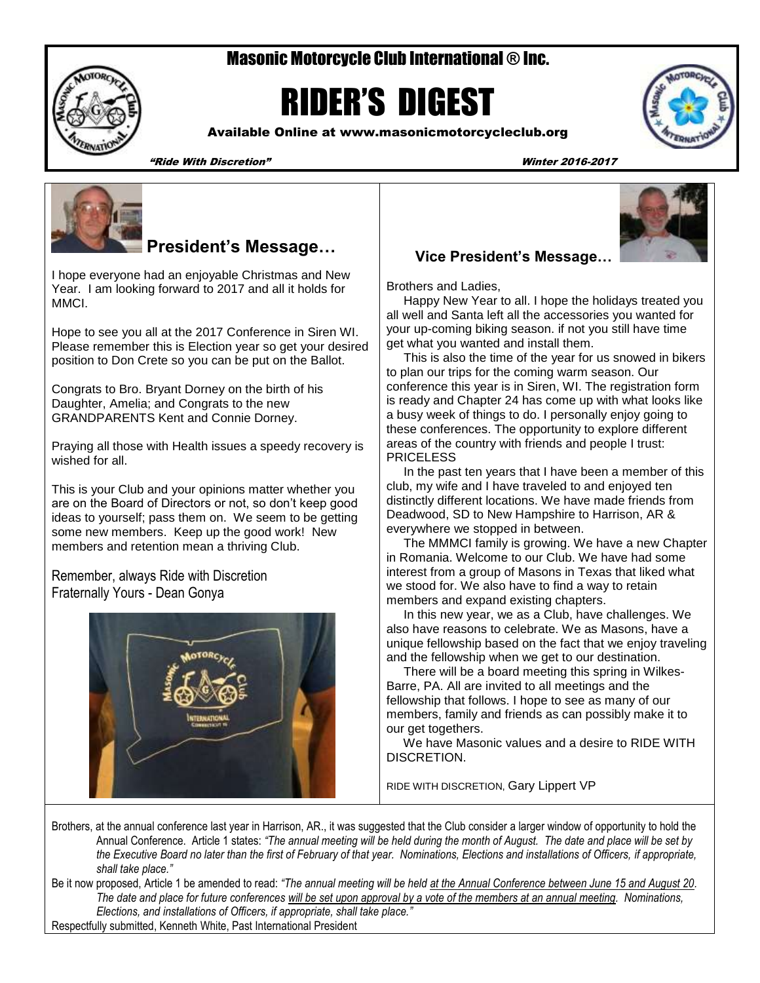# Masonic Motorcycle Club International ® Inc.



# RIDER'S DIGEST

Available Online at www.masonicmotorcycleclub.org



"Ride With Discretion" Winter 2016-2017



# **President's Message…**

I hope everyone had an enjoyable Christmas and New Year. I am looking forward to 2017 and all it holds for MMCI.

Hope to see you all at the 2017 Conference in Siren WI. Please remember this is Election year so get your desired position to Don Crete so you can be put on the Ballot.

Congrats to Bro. Bryant Dorney on the birth of his Daughter, Amelia; and Congrats to the new GRANDPARENTS Kent and Connie Dorney.

Praying all those with Health issues a speedy recovery is wished for all

This is your Club and your opinions matter whether you are on the Board of Directors or not, so don't keep good ideas to yourself; pass them on. We seem to be getting some new members. Keep up the good work! New members and retention mean a thriving Club.

Remember, always Ride with Discretion Fraternally Yours - Dean Gonya





Brothers and Ladies,

 Happy New Year to all. I hope the holidays treated you all well and Santa left all the accessories you wanted for your up-coming biking season. if not you still have time get what you wanted and install them.

 This is also the time of the year for us snowed in bikers to plan our trips for the coming warm season. Our conference this year is in Siren, WI. The registration form is ready and Chapter 24 has come up with what looks like a busy week of things to do. I personally enjoy going to these conferences. The opportunity to explore different areas of the country with friends and people I trust: **PRICELESS** 

 In the past ten years that I have been a member of this club, my wife and I have traveled to and enjoyed ten distinctly different locations. We have made friends from Deadwood, SD to New Hampshire to Harrison, AR & everywhere we stopped in between.

 The MMMCI family is growing. We have a new Chapter in Romania. Welcome to our Club. We have had some interest from a group of Masons in Texas that liked what we stood for. We also have to find a way to retain members and expand existing chapters.

 In this new year, we as a Club, have challenges. We also have reasons to celebrate. We as Masons, have a unique fellowship based on the fact that we enjoy traveling and the fellowship when we get to our destination.

 There will be a board meeting this spring in Wilkes-Barre, PA. All are invited to all meetings and the fellowship that follows. I hope to see as many of our members, family and friends as can possibly make it to our get togethers.

 We have Masonic values and a desire to RIDE WITH DISCRETION.

RIDE WITH DISCRETION, Gary Lippert VP

Brothers, at the annual conference last year in Harrison, AR., it was suggested that the Club consider a larger window of opportunity to hold the Annual Conference. Article 1 states: *"The annual meeting will be held during the month of August. The date and place will be set by the Executive Board no later than the first of February of that year. Nominations, Elections and installations of Officers, if appropriate, shall take place."*

Be it now proposed, Article 1 be amended to read: *"The annual meeting will be held at the Annual Conference between June 15 and August 20. The date and place for future conferences will be set upon approval by a vote of the members at an annual meeting. Nominations, Elections, and installations of Officers, if appropriate, shall take place."* Respectfully submitted, Kenneth White, Past International President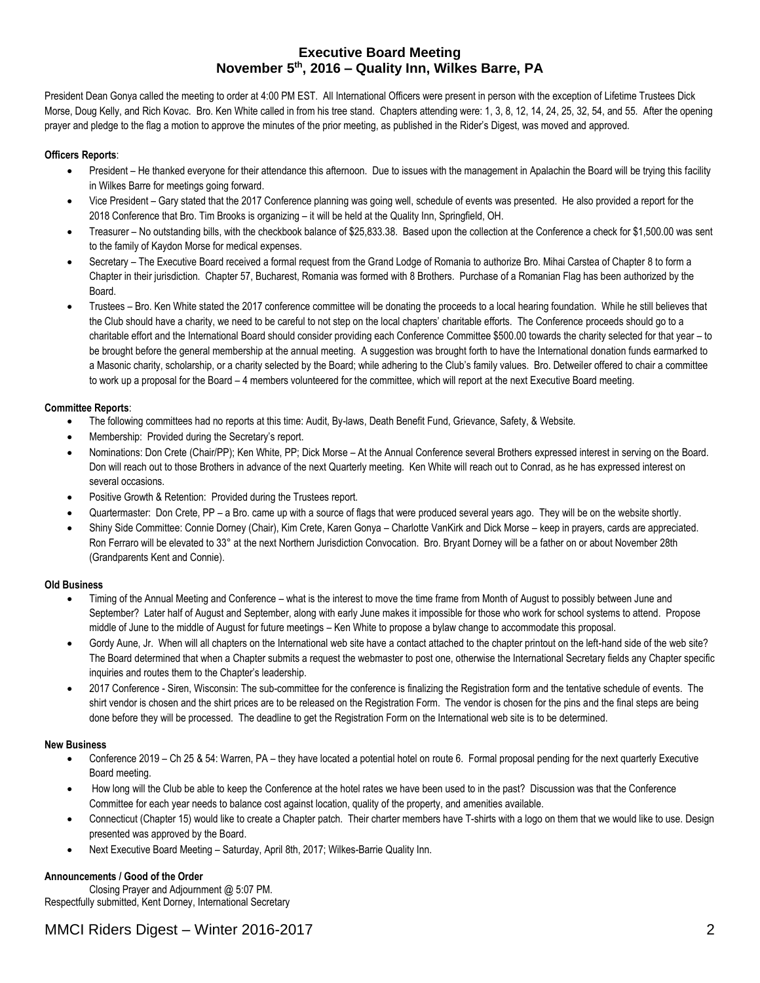## **Executive Board Meeting November 5th , 2016 – Quality Inn, Wilkes Barre, PA**

President Dean Gonya called the meeting to order at 4:00 PM EST. All International Officers were present in person with the exception of Lifetime Trustees Dick Morse, Doug Kelly, and Rich Kovac. Bro. Ken White called in from his tree stand. Chapters attending were: 1, 3, 8, 12, 14, 24, 25, 32, 54, and 55. After the opening prayer and pledge to the flag a motion to approve the minutes of the prior meeting, as published in the Rider's Digest, was moved and approved.

#### **Officers Reports**:

- President He thanked everyone for their attendance this afternoon. Due to issues with the management in Apalachin the Board will be trying this facility in Wilkes Barre for meetings going forward.
- Vice President Gary stated that the 2017 Conference planning was going well, schedule of events was presented. He also provided a report for the 2018 Conference that Bro. Tim Brooks is organizing – it will be held at the Quality Inn, Springfield, OH.
- Treasurer No outstanding bills, with the checkbook balance of \$25,833.38. Based upon the collection at the Conference a check for \$1,500.00 was sent to the family of Kaydon Morse for medical expenses.
- Secretary The Executive Board received a formal request from the Grand Lodge of Romania to authorize Bro. Mihai Carstea of Chapter 8 to form a Chapter in their jurisdiction. Chapter 57, Bucharest, Romania was formed with 8 Brothers. Purchase of a Romanian Flag has been authorized by the Board.
- Trustees Bro. Ken White stated the 2017 conference committee will be donating the proceeds to a local hearing foundation. While he still believes that the Club should have a charity, we need to be careful to not step on the local chapters' charitable efforts. The Conference proceeds should go to a charitable effort and the International Board should consider providing each Conference Committee \$500.00 towards the charity selected for that year – to be brought before the general membership at the annual meeting. A suggestion was brought forth to have the International donation funds earmarked to a Masonic charity, scholarship, or a charity selected by the Board; while adhering to the Club's family values. Bro. Detweiler offered to chair a committee to work up a proposal for the Board – 4 members volunteered for the committee, which will report at the next Executive Board meeting.

#### **Committee Reports**:

- The following committees had no reports at this time: Audit, By-laws, Death Benefit Fund, Grievance, Safety, & Website.
- Membership: Provided during the Secretary's report.
- Nominations: Don Crete (Chair/PP); Ken White, PP; Dick Morse At the Annual Conference several Brothers expressed interest in serving on the Board. Don will reach out to those Brothers in advance of the next Quarterly meeting. Ken White will reach out to Conrad, as he has expressed interest on several occasions.
- Positive Growth & Retention: Provided during the Trustees report.
- Quartermaster: Don Crete, PP a Bro. came up with a source of flags that were produced several years ago. They will be on the website shortly.
- Shiny Side Committee: Connie Dorney (Chair), Kim Crete, Karen Gonya Charlotte VanKirk and Dick Morse keep in prayers, cards are appreciated. Ron Ferraro will be elevated to 33° at the next Northern Jurisdiction Convocation. Bro. Bryant Dorney will be a father on or about November 28th (Grandparents Kent and Connie).

#### **Old Business**

- Timing of the Annual Meeting and Conference what is the interest to move the time frame from Month of August to possibly between June and September? Later half of August and September, along with early June makes it impossible for those who work for school systems to attend. Propose middle of June to the middle of August for future meetings – Ken White to propose a bylaw change to accommodate this proposal.
- Gordy Aune, Jr. When will all chapters on the International web site have a contact attached to the chapter printout on the left-hand side of the web site? The Board determined that when a Chapter submits a request the webmaster to post one, otherwise the International Secretary fields any Chapter specific inquiries and routes them to the Chapter's leadership.
- 2017 Conference Siren, Wisconsin: The sub-committee for the conference is finalizing the Registration form and the tentative schedule of events. The shirt vendor is chosen and the shirt prices are to be released on the Registration Form. The vendor is chosen for the pins and the final steps are being done before they will be processed. The deadline to get the Registration Form on the International web site is to be determined.

#### **New Business**

- Conference 2019 Ch 25 & 54: Warren, PA they have located a potential hotel on route 6. Formal proposal pending for the next quarterly Executive Board meeting.
- How long will the Club be able to keep the Conference at the hotel rates we have been used to in the past? Discussion was that the Conference Committee for each year needs to balance cost against location, quality of the property, and amenities available.
- Connecticut (Chapter 15) would like to create a Chapter patch. Their charter members have T-shirts with a logo on them that we would like to use. Design presented was approved by the Board.
- Next Executive Board Meeting Saturday, April 8th, 2017; Wilkes-Barrie Quality Inn.

#### **Announcements / Good of the Order**

Closing Prayer and Adjournment @ 5:07 PM. Respectfully submitted, Kent Dorney, International Secretary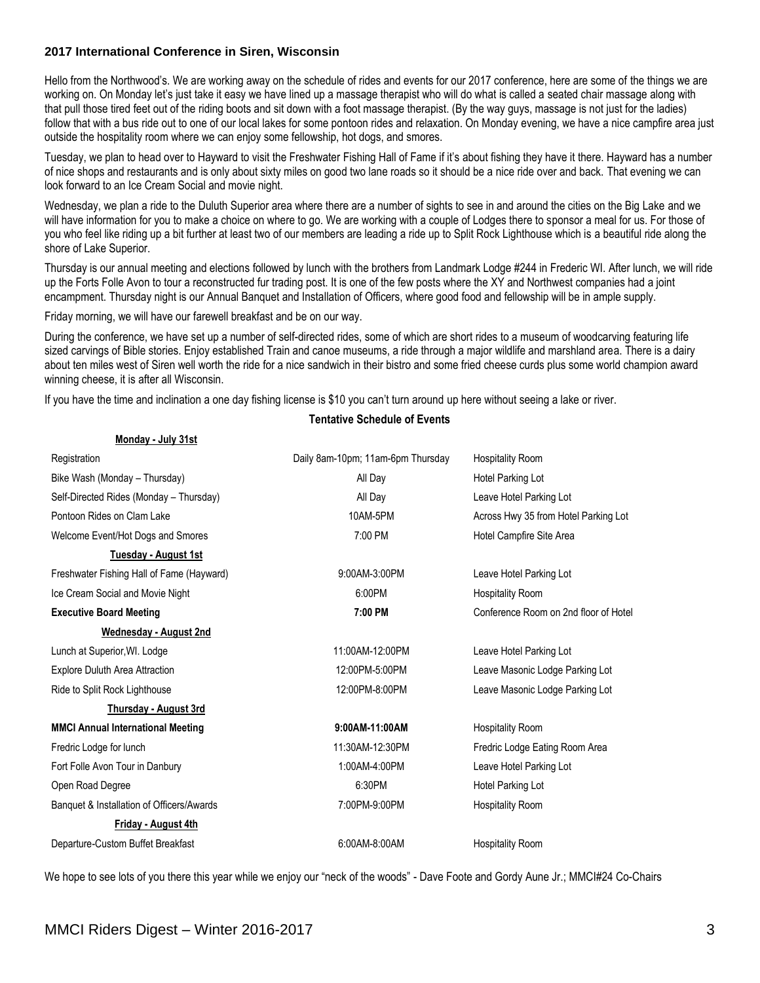### **2017 International Conference in Siren, Wisconsin**

Hello from the Northwood's. We are working away on the schedule of rides and events for our 2017 conference, here are some of the things we are working on. On Monday let's just take it easy we have lined up a massage therapist who will do what is called a seated chair massage along with that pull those tired feet out of the riding boots and sit down with a foot massage therapist. (By the way guys, massage is not just for the ladies) follow that with a bus ride out to one of our local lakes for some pontoon rides and relaxation. On Monday evening, we have a nice campfire area just outside the hospitality room where we can enjoy some fellowship, hot dogs, and smores.

Tuesday, we plan to head over to Hayward to visit the Freshwater Fishing Hall of Fame if it's about fishing they have it there. Hayward has a number of nice shops and restaurants and is only about sixty miles on good two lane roads so it should be a nice ride over and back. That evening we can look forward to an Ice Cream Social and movie night.

Wednesday, we plan a ride to the Duluth Superior area where there are a number of sights to see in and around the cities on the Big Lake and we will have information for you to make a choice on where to go. We are working with a couple of Lodges there to sponsor a meal for us. For those of you who feel like riding up a bit further at least two of our members are leading a ride up to Split Rock Lighthouse which is a beautiful ride along the shore of Lake Superior.

Thursday is our annual meeting and elections followed by lunch with the brothers from Landmark Lodge #244 in Frederic WI. After lunch, we will ride up the Forts Folle Avon to tour a reconstructed fur trading post. It is one of the few posts where the XY and Northwest companies had a joint encampment. Thursday night is our Annual Banquet and Installation of Officers, where good food and fellowship will be in ample supply.

Friday morning, we will have our farewell breakfast and be on our way.

During the conference, we have set up a number of self-directed rides, some of which are short rides to a museum of woodcarving featuring life sized carvings of Bible stories. Enjoy established Train and canoe museums, a ride through a major wildlife and marshland area. There is a dairy about ten miles west of Siren well worth the ride for a nice sandwich in their bistro and some fried cheese curds plus some world champion award winning cheese, it is after all Wisconsin.

If you have the time and inclination a one day fishing license is \$10 you can't turn around up here without seeing a lake or river.

| Monday - July 31st                        |                                   |                                       |
|-------------------------------------------|-----------------------------------|---------------------------------------|
| Registration                              | Daily 8am-10pm; 11am-6pm Thursday | <b>Hospitality Room</b>               |
| Bike Wash (Monday - Thursday)             | All Day                           | Hotel Parking Lot                     |
| Self-Directed Rides (Monday - Thursday)   | All Day                           | Leave Hotel Parking Lot               |
| Pontoon Rides on Clam Lake                | 10AM-5PM                          | Across Hwy 35 from Hotel Parking Lot  |
| Welcome Event/Hot Dogs and Smores         | 7:00 PM                           | Hotel Campfire Site Area              |
| Tuesday - August 1st                      |                                   |                                       |
| Freshwater Fishing Hall of Fame (Hayward) | 9:00AM-3:00PM                     | Leave Hotel Parking Lot               |
| Ice Cream Social and Movie Night          | 6:00PM                            | <b>Hospitality Room</b>               |
| <b>Executive Board Meeting</b>            | 7:00 PM                           | Conference Room on 2nd floor of Hotel |
| Wednesday - August 2nd                    |                                   |                                       |
| Lunch at Superior, WI. Lodge              | 11:00AM-12:00PM                   | Leave Hotel Parking Lot               |
| <b>Explore Duluth Area Attraction</b>     | 12:00PM-5:00PM                    | Leave Masonic Lodge Parking Lot       |
| Ride to Split Rock Lighthouse             | 12:00PM-8:00PM                    | Leave Masonic Lodge Parking Lot       |
| Thursday - August 3rd                     |                                   |                                       |
| <b>MMCI Annual International Meeting</b>  | 9:00AM-11:00AM                    | <b>Hospitality Room</b>               |
| Fredric Lodge for lunch                   | 11:30AM-12:30PM                   | Fredric Lodge Eating Room Area        |
| Fort Folle Avon Tour in Danbury           | 1:00AM-4:00PM                     | Leave Hotel Parking Lot               |
| Open Road Degree                          | 6:30PM                            | Hotel Parking Lot                     |
| Banquet & Installation of Officers/Awards | 7:00PM-9:00PM                     | <b>Hospitality Room</b>               |
| Friday - August 4th                       |                                   |                                       |
| Departure-Custom Buffet Breakfast         | 6:00AM-8:00AM                     | <b>Hospitality Room</b>               |

#### **Tentative Schedule of Events**

We hope to see lots of you there this year while we enjoy our "neck of the woods" - Dave Foote and Gordy Aune Jr.; MMCI#24 Co-Chairs